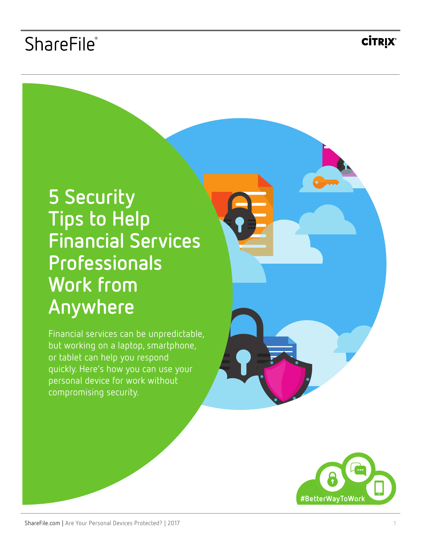## ShareFile®

**CİTRIX®** 

# **5 Security Tips to Help Financial Services Professionals Work from Anywhere**

Financial services can be unpredictable, but working on a laptop, smartphone, or tablet can help you respond quickly. Here's how you can use your personal device for work without compromising security.

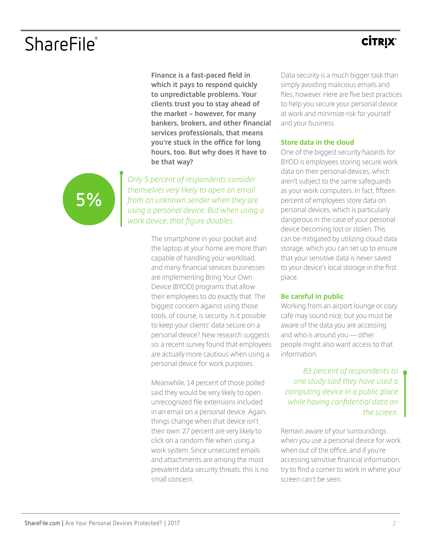## ShareFile®

### **CITRIX®**

**Finance is a fast-paced field in which it pays to respond quickly to unpredictable problems. Your clients trust you to stay ahead of the market – however, for many bankers, brokers, and other financial services professionals, that means you're stuck in the office for long hours, too. But why does it have to be that way?** 

*Only 5 percent of respondents consider themselves very likely to open an email from an unknown sender when they are [using a personal device. But when using a](http://www.optiolabs.com/wp-content/uploads/2016/08/OptioLabs_Mobile_Worker_Privacy_Survey.pdf)  work device, that figure doubles.*

> The smartphone in your pocket and the laptop at your home are more than capable of handling your workload, and many financial services businesses are implementing Bring Your Own Device (BYOD) programs that allow their employees to do exactly that. The biggest concern against using those tools, of course, is security. Is it possible to keep your clients' data secure on a personal device? New research suggests so: a recent survey found that employees are actually more cautious when using a personal device for work purposes.

Meanwhile, 14 percent of those polled said they would be very likely to open unrecognized file extensions included in an email on a personal device. Again, things change when that device isn't their own: 27 percent are very likely to click on a random file when using a work system. Since unsecured emails and attachments are among the most prevalent data security threats, this is no small concern.

Data security is a much bigger task than simply avoiding malicious emails and files, however. Here are five best practices to help you secure your personal device at work and minimize risk for yourself and your business.

### **Store data in the cloud**

One of the biggest security hazards for BYOD is employees storing secure work data on their personal devices, which aren't subject to the same safeguards as your work computers. In fact, fifteen percent of employees store data on personal devices, which is particularly dangerous in the case of your personal device becoming lost or stolen. This can be mitigated by utilizing cloud data storage, which you can set up to ensure that your sensitive data is never saved to your device's local storage in the first place.

### **Be careful in public**

Working from an airport lounge or cozy cafe may sound nice, but you must be aware of the data you are accessing and who is around you — other people might also want access to that information.

*83 percent of respondents to one study said they have used a [computing device in a public place](http://www.optiolabs.com/wp-content/uploads/2016/08/OptioLabs_Mobile_Worker_Privacy_Survey.pdf)  while having confidential data on the screen.* 

Remain aware of your surroundings when you use a personal device for work when out of the office, and if you're accessing sensitive financial information, try to find a corner to work in where your screen can't be seen.